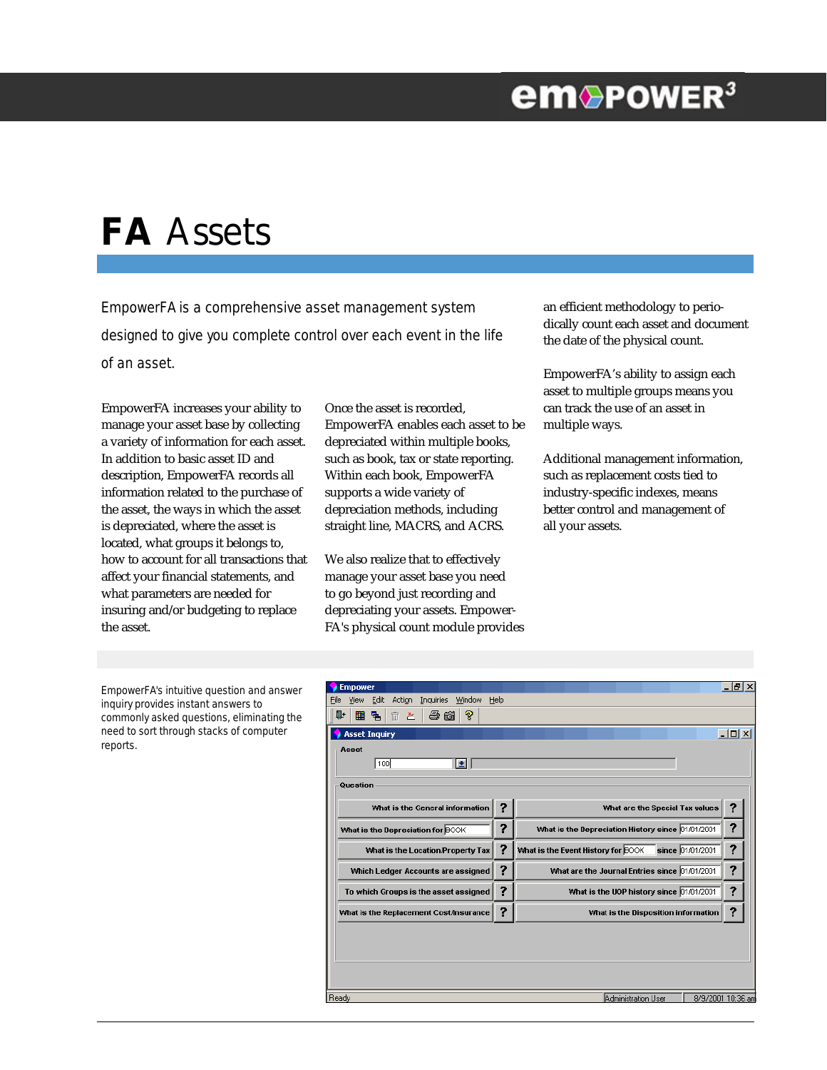## **em**®PowER<sup>3</sup>

# **FA** Assets

EmpowerFA is a comprehensive asset management system designed to give you complete control over each event in the life of an asset.

EmpowerFA increases your ability to manage your asset base by collecting a variety of information for each asset. In addition to basic asset ID and description, EmpowerFA records all information related to the purchase of the asset, the ways in which the asset is depreciated, where the asset is located, what groups it belongs to, how to account for all transactions that affect your financial statements, and what parameters are needed for insuring and/or budgeting to replace the asset.

Once the asset is recorded, EmpowerFA enables each asset to be depreciated within multiple books, such as book, tax or state reporting. Within each book, EmpowerFA supports a wide variety of depreciation methods, including straight line, MACRS, and ACRS.

We also realize that to effectively manage your asset base you need to go beyond just recording and depreciating your assets. Empower-FA's physical count module provides an efficient methodology to periodically count each asset and document the date of the physical count.

EmpowerFA's ability to assign each asset to multiple groups means you can track the use of an asset in multiple ways.

Additional management information, such as replacement costs tied to industry-specific indexes, means better control and management of all your assets.

EmpowerFA's intuitive question and answer inquiry provides instant answers to commonly asked questions, eliminating the need to sort through stacks of computer reports.

| <b>Empower</b>                                           |      |                                                        | -I리×             |
|----------------------------------------------------------|------|--------------------------------------------------------|------------------|
| Edit<br>Action<br>Inquiries<br>Window<br>View<br>File    | Help |                                                        |                  |
| 手筒<br>P<br>用 립<br>ŀ<br>$\overline{\mathbb{m}}$<br>土      |      |                                                        |                  |
| <b>Asset Inquiry</b>                                     |      |                                                        | $ \Box$ $\times$ |
| Asset                                                    |      |                                                        |                  |
| 100<br>E                                                 |      |                                                        |                  |
|                                                          |      |                                                        |                  |
| Question                                                 |      |                                                        |                  |
|                                                          |      |                                                        |                  |
| What is the General information                          |      | What are the Special Tax values                        |                  |
| What is the Depreciation for BOOK                        | ?    | What is the Depreciation History since 01/01/2001      | ?                |
| What is the Location/Property Tax                        | ?    | since 01/01/2001<br>What is the Event History for BOOK | ?                |
| Which Ledger Accounts are assigned                       | ?    | What are the Journal Entries since 01/01/2001          | ?                |
| To which Groups is the asset assigned                    | ?    | What is the UOP history since 01/01/2001               | ?                |
| What is the Replacement Cost/Insurance                   | ?    | What is the Disposition information                    | ?                |
|                                                          |      |                                                        |                  |
|                                                          |      |                                                        |                  |
|                                                          |      |                                                        |                  |
|                                                          |      |                                                        |                  |
|                                                          |      |                                                        |                  |
| Ready<br><b>Administration User</b><br>8/9/2001 10:36 am |      |                                                        |                  |
|                                                          |      |                                                        |                  |